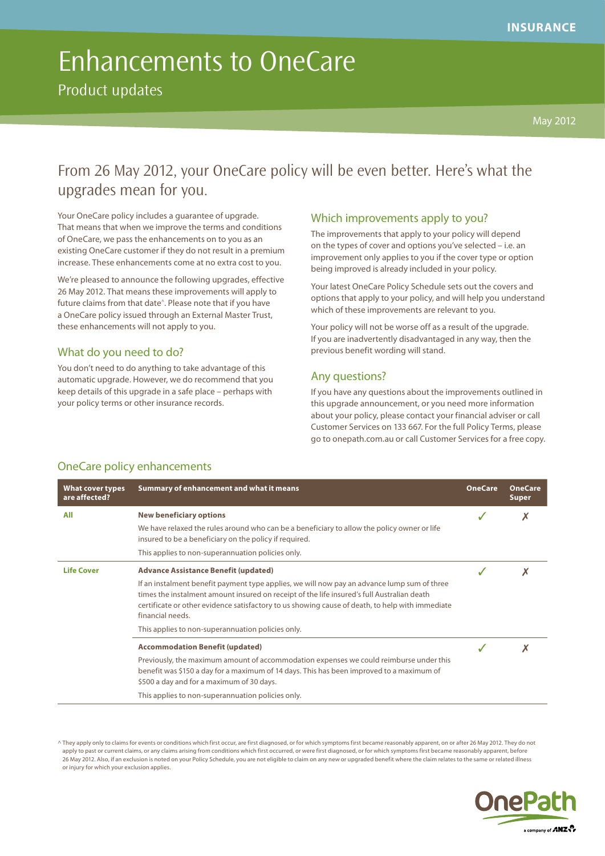Product updates

## From 26 May 2012, your OneCare policy will be even better. Here's what the upgrades mean for you.

Your OneCare policy includes a guarantee of upgrade. That means that when we improve the terms and conditions of OneCare, we pass the enhancements on to you as an existing OneCare customer if they do not result in a premium increase. These enhancements come at no extra cost to you.

We're pleased to announce the following upgrades, effective 26 May 2012. That means these improvements will apply to future claims from that date<sup>^</sup>. Please note that if you have a OneCare policy issued through an External Master Trust, these enhancements will not apply to you.

#### What do you need to do?

You don't need to do anything to take advantage of this automatic upgrade. However, we do recommend that you keep details of this upgrade in a safe place – perhaps with your policy terms or other insurance records.

### Which improvements apply to you?

The improvements that apply to your policy will depend on the types of cover and options you've selected – i.e. an improvement only applies to you if the cover type or option being improved is already included in your policy.

Your latest OneCare Policy Schedule sets out the covers and options that apply to your policy, and will help you understand which of these improvements are relevant to you.

Your policy will not be worse off as a result of the upgrade. If you are inadvertently disadvantaged in any way, then the previous benefit wording will stand.

#### Any questions?

If you have any questions about the improvements outlined in this upgrade announcement, or you need more information about your policy, please contact your financial adviser or call Customer Services on 133 667. For the full Policy Terms, please go to onepath.com.au or call Customer Services for a free copy.

|  | <b>OneCare policy enhancements</b> |
|--|------------------------------------|
|  |                                    |

| <b>What cover types</b><br>are affected? | Summary of enhancement and what it means                                                                                                                                                                                                                                                                         | <b>OneCare</b> | <b>OneCare</b><br><b>Super</b> |
|------------------------------------------|------------------------------------------------------------------------------------------------------------------------------------------------------------------------------------------------------------------------------------------------------------------------------------------------------------------|----------------|--------------------------------|
| All                                      | <b>New beneficiary options</b>                                                                                                                                                                                                                                                                                   |                |                                |
|                                          | We have relaxed the rules around who can be a beneficiary to allow the policy owner or life<br>insured to be a beneficiary on the policy if required.                                                                                                                                                            |                |                                |
|                                          | This applies to non-superannuation policies only.                                                                                                                                                                                                                                                                |                |                                |
| <b>Life Cover</b>                        | <b>Advance Assistance Benefit (updated)</b>                                                                                                                                                                                                                                                                      |                |                                |
|                                          | If an instalment benefit payment type applies, we will now pay an advance lump sum of three<br>times the instalment amount insured on receipt of the life insured's full Australian death<br>certificate or other evidence satisfactory to us showing cause of death, to help with immediate<br>financial needs. |                |                                |
|                                          | This applies to non-superannuation policies only.                                                                                                                                                                                                                                                                |                |                                |
|                                          | <b>Accommodation Benefit (updated)</b>                                                                                                                                                                                                                                                                           |                |                                |
|                                          | Previously, the maximum amount of accommodation expenses we could reimburse under this<br>benefit was \$150 a day for a maximum of 14 days. This has been improved to a maximum of<br>\$500 a day and for a maximum of 30 days.                                                                                  |                |                                |
|                                          | This applies to non-superannuation policies only.                                                                                                                                                                                                                                                                |                |                                |

^ They apply only to claims for events or conditions which first occur, are first diagnosed, or for which symptoms first became reasonably apparent, on or after 26 May 2012. They do not apply to past or current claims, or any claims arising from conditions which first occurred, or were first diagnosed, or for which symptoms first became reasonably apparent, before 26 May 2012. Also, if an exclusion is noted on your Policy Schedule, you are not eligible to claim on any new or upgraded benefit where the claim relates to the same or related illness or injury for which your exclusion applies.

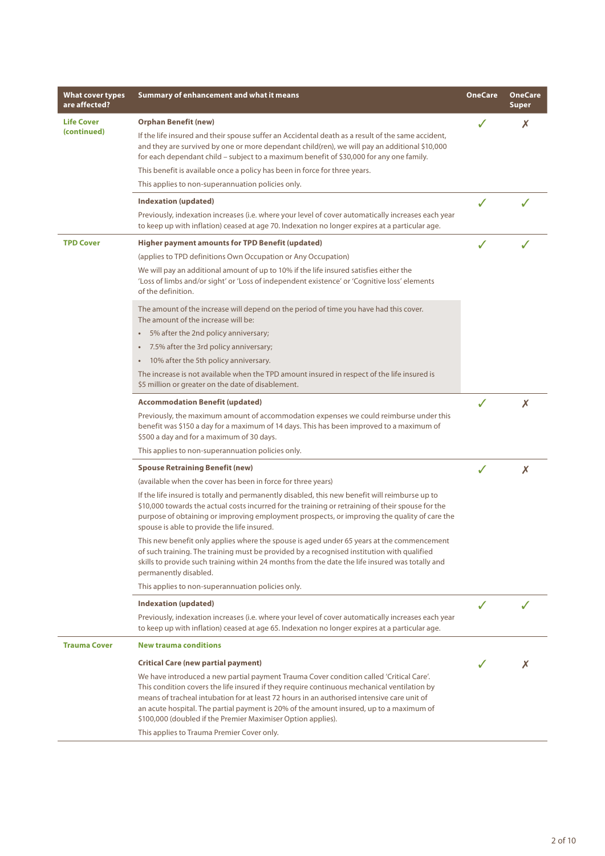| What cover types<br>are affected? | Summary of enhancement and what it means                                                                                                                                                                                                                                                                                                                                                                                                                                                      | <b>OneCare</b> | <b>OneCare</b><br>Super |
|-----------------------------------|-----------------------------------------------------------------------------------------------------------------------------------------------------------------------------------------------------------------------------------------------------------------------------------------------------------------------------------------------------------------------------------------------------------------------------------------------------------------------------------------------|----------------|-------------------------|
| <b>Life Cover</b><br>(continued)  | <b>Orphan Benefit (new)</b><br>If the life insured and their spouse suffer an Accidental death as a result of the same accident,<br>and they are survived by one or more dependant child(ren), we will pay an additional \$10,000<br>for each dependant child - subject to a maximum benefit of \$30,000 for any one family.                                                                                                                                                                  |                | X                       |
|                                   | This benefit is available once a policy has been in force for three years.                                                                                                                                                                                                                                                                                                                                                                                                                    |                |                         |
|                                   | This applies to non-superannuation policies only.                                                                                                                                                                                                                                                                                                                                                                                                                                             |                |                         |
|                                   | <b>Indexation (updated)</b>                                                                                                                                                                                                                                                                                                                                                                                                                                                                   | $\checkmark$   |                         |
|                                   | Previously, indexation increases (i.e. where your level of cover automatically increases each year<br>to keep up with inflation) ceased at age 70. Indexation no longer expires at a particular age.                                                                                                                                                                                                                                                                                          |                |                         |
| <b>TPD Cover</b>                  | Higher payment amounts for TPD Benefit (updated)                                                                                                                                                                                                                                                                                                                                                                                                                                              |                |                         |
|                                   | (applies to TPD definitions Own Occupation or Any Occupation)                                                                                                                                                                                                                                                                                                                                                                                                                                 |                |                         |
|                                   | We will pay an additional amount of up to 10% if the life insured satisfies either the<br>'Loss of limbs and/or sight' or 'Loss of independent existence' or 'Cognitive loss' elements<br>of the definition.                                                                                                                                                                                                                                                                                  |                |                         |
|                                   | The amount of the increase will depend on the period of time you have had this cover.<br>The amount of the increase will be:                                                                                                                                                                                                                                                                                                                                                                  |                |                         |
|                                   | 5% after the 2nd policy anniversary;<br>$\bullet$                                                                                                                                                                                                                                                                                                                                                                                                                                             |                |                         |
|                                   | 7.5% after the 3rd policy anniversary;<br>$\bullet$                                                                                                                                                                                                                                                                                                                                                                                                                                           |                |                         |
|                                   | 10% after the 5th policy anniversary.<br>$\bullet$                                                                                                                                                                                                                                                                                                                                                                                                                                            |                |                         |
|                                   | The increase is not available when the TPD amount insured in respect of the life insured is<br>\$5 million or greater on the date of disablement.                                                                                                                                                                                                                                                                                                                                             |                |                         |
|                                   | <b>Accommodation Benefit (updated)</b>                                                                                                                                                                                                                                                                                                                                                                                                                                                        |                | X                       |
|                                   | Previously, the maximum amount of accommodation expenses we could reimburse under this<br>benefit was \$150 a day for a maximum of 14 days. This has been improved to a maximum of<br>\$500 a day and for a maximum of 30 days.                                                                                                                                                                                                                                                               |                |                         |
|                                   | This applies to non-superannuation policies only.                                                                                                                                                                                                                                                                                                                                                                                                                                             |                |                         |
|                                   | <b>Spouse Retraining Benefit (new)</b>                                                                                                                                                                                                                                                                                                                                                                                                                                                        | $\checkmark$   | X                       |
|                                   | (available when the cover has been in force for three years)                                                                                                                                                                                                                                                                                                                                                                                                                                  |                |                         |
|                                   | If the life insured is totally and permanently disabled, this new benefit will reimburse up to<br>\$10,000 towards the actual costs incurred for the training or retraining of their spouse for the<br>purpose of obtaining or improving employment prospects, or improving the quality of care the<br>spouse is able to provide the life insured.                                                                                                                                            |                |                         |
|                                   | This new benefit only applies where the spouse is aged under 65 years at the commencement<br>of such training. The training must be provided by a recognised institution with qualified<br>skills to provide such training within 24 months from the date the life insured was totally and<br>permanently disabled.                                                                                                                                                                           |                |                         |
|                                   | This applies to non-superannuation policies only.                                                                                                                                                                                                                                                                                                                                                                                                                                             |                |                         |
|                                   | Indexation (updated)                                                                                                                                                                                                                                                                                                                                                                                                                                                                          |                |                         |
|                                   | Previously, indexation increases (i.e. where your level of cover automatically increases each year<br>to keep up with inflation) ceased at age 65. Indexation no longer expires at a particular age.                                                                                                                                                                                                                                                                                          |                |                         |
| <b>Trauma Cover</b>               | <b>New trauma conditions</b>                                                                                                                                                                                                                                                                                                                                                                                                                                                                  |                |                         |
|                                   | <b>Critical Care (new partial payment)</b>                                                                                                                                                                                                                                                                                                                                                                                                                                                    |                | Х                       |
|                                   | We have introduced a new partial payment Trauma Cover condition called 'Critical Care'.<br>This condition covers the life insured if they require continuous mechanical ventilation by<br>means of tracheal intubation for at least 72 hours in an authorised intensive care unit of<br>an acute hospital. The partial payment is 20% of the amount insured, up to a maximum of<br>\$100,000 (doubled if the Premier Maximiser Option applies).<br>This applies to Trauma Premier Cover only. |                |                         |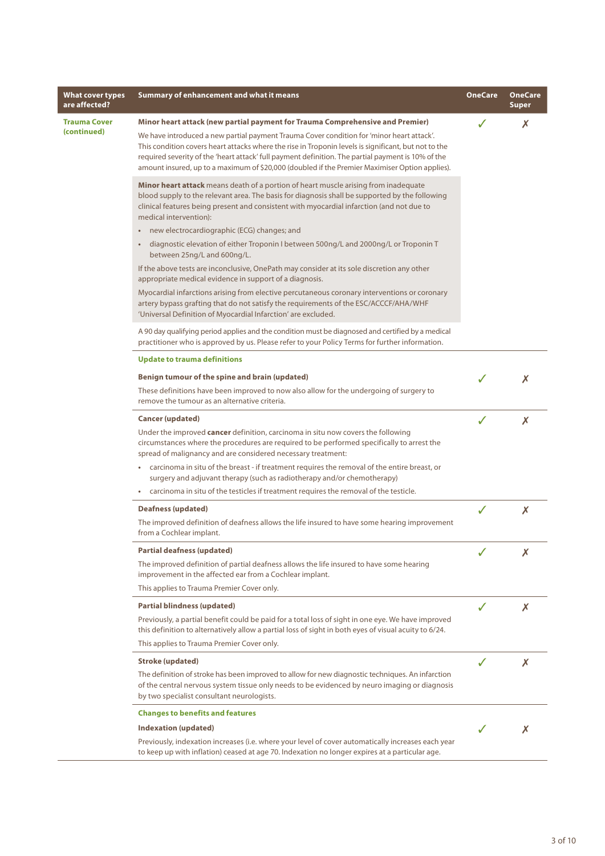| What cover types<br>are affected?  | <b>Summary of enhancement and what it means</b>                                                                                                                                                                                                                                                                                                                                                                                                                                            | <b>OneCare</b> | <b>OneCare</b><br><b>Super</b> |
|------------------------------------|--------------------------------------------------------------------------------------------------------------------------------------------------------------------------------------------------------------------------------------------------------------------------------------------------------------------------------------------------------------------------------------------------------------------------------------------------------------------------------------------|----------------|--------------------------------|
| <b>Trauma Cover</b><br>(continued) | Minor heart attack (new partial payment for Trauma Comprehensive and Premier)<br>We have introduced a new partial payment Trauma Cover condition for 'minor heart attack'.<br>This condition covers heart attacks where the rise in Troponin levels is significant, but not to the<br>required severity of the 'heart attack' full payment definition. The partial payment is 10% of the<br>amount insured, up to a maximum of \$20,000 (doubled if the Premier Maximiser Option applies). |                | Х                              |
|                                    | Minor heart attack means death of a portion of heart muscle arising from inadequate<br>blood supply to the relevant area. The basis for diagnosis shall be supported by the following<br>clinical features being present and consistent with myocardial infarction (and not due to<br>medical intervention):<br>new electrocardiographic (ECG) changes; and<br>diagnostic elevation of either Troponin I between 500ng/L and 2000ng/L or Troponin T<br>$\bullet$                           |                |                                |
|                                    | between 25ng/L and 600ng/L.<br>If the above tests are inconclusive, OnePath may consider at its sole discretion any other<br>appropriate medical evidence in support of a diagnosis.                                                                                                                                                                                                                                                                                                       |                |                                |
|                                    | Myocardial infarctions arising from elective percutaneous coronary interventions or coronary<br>artery bypass grafting that do not satisfy the requirements of the ESC/ACCCF/AHA/WHF<br>'Universal Definition of Myocardial Infarction' are excluded.                                                                                                                                                                                                                                      |                |                                |
|                                    | A 90 day qualifying period applies and the condition must be diagnosed and certified by a medical<br>practitioner who is approved by us. Please refer to your Policy Terms for further information.                                                                                                                                                                                                                                                                                        |                |                                |
|                                    | <b>Update to trauma definitions</b>                                                                                                                                                                                                                                                                                                                                                                                                                                                        |                |                                |
|                                    | Benign tumour of the spine and brain (updated)                                                                                                                                                                                                                                                                                                                                                                                                                                             |                | Х                              |
|                                    | These definitions have been improved to now also allow for the undergoing of surgery to<br>remove the tumour as an alternative criteria.                                                                                                                                                                                                                                                                                                                                                   |                |                                |
|                                    | <b>Cancer (updated)</b>                                                                                                                                                                                                                                                                                                                                                                                                                                                                    | $\checkmark$   | X                              |
|                                    | Under the improved cancer definition, carcinoma in situ now covers the following<br>circumstances where the procedures are required to be performed specifically to arrest the<br>spread of malignancy and are considered necessary treatment:                                                                                                                                                                                                                                             |                |                                |
|                                    | carcinoma in situ of the breast - if treatment requires the removal of the entire breast, or<br>$\bullet$<br>surgery and adjuvant therapy (such as radiotherapy and/or chemotherapy)                                                                                                                                                                                                                                                                                                       |                |                                |
|                                    | carcinoma in situ of the testicles if treatment requires the removal of the testicle.                                                                                                                                                                                                                                                                                                                                                                                                      |                |                                |
|                                    | <b>Deafness (updated)</b><br>The improved definition of deafness allows the life insured to have some hearing improvement                                                                                                                                                                                                                                                                                                                                                                  |                | X                              |
|                                    | from a Cochlear implant.                                                                                                                                                                                                                                                                                                                                                                                                                                                                   |                |                                |
|                                    | <b>Partial deafness (updated)</b>                                                                                                                                                                                                                                                                                                                                                                                                                                                          |                | х                              |
|                                    | The improved definition of partial deafness allows the life insured to have some hearing<br>improvement in the affected ear from a Cochlear implant.                                                                                                                                                                                                                                                                                                                                       |                |                                |
|                                    | This applies to Trauma Premier Cover only.                                                                                                                                                                                                                                                                                                                                                                                                                                                 |                |                                |
|                                    | <b>Partial blindness (updated)</b>                                                                                                                                                                                                                                                                                                                                                                                                                                                         |                | Х                              |
|                                    | Previously, a partial benefit could be paid for a total loss of sight in one eye. We have improved<br>this definition to alternatively allow a partial loss of sight in both eyes of visual acuity to 6/24.                                                                                                                                                                                                                                                                                |                |                                |
|                                    | This applies to Trauma Premier Cover only.                                                                                                                                                                                                                                                                                                                                                                                                                                                 |                |                                |
|                                    | Stroke (updated)                                                                                                                                                                                                                                                                                                                                                                                                                                                                           |                | X                              |
|                                    | The definition of stroke has been improved to allow for new diagnostic techniques. An infarction<br>of the central nervous system tissue only needs to be evidenced by neuro imaging or diagnosis<br>by two specialist consultant neurologists.                                                                                                                                                                                                                                            |                |                                |
|                                    | <b>Changes to benefits and features</b>                                                                                                                                                                                                                                                                                                                                                                                                                                                    |                |                                |
|                                    | <b>Indexation (updated)</b>                                                                                                                                                                                                                                                                                                                                                                                                                                                                |                | Х                              |
|                                    | Previously, indexation increases (i.e. where your level of cover automatically increases each year<br>to keep up with inflation) ceased at age 70. Indexation no longer expires at a particular age.                                                                                                                                                                                                                                                                                       |                |                                |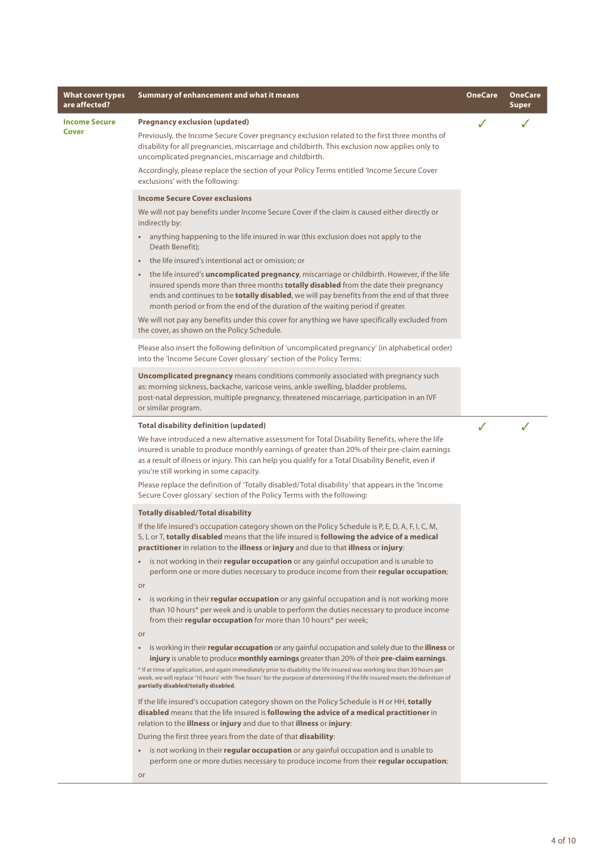| <b>What cover types</b><br>are affected? | Summary of enhancement and what it means                                                                                                                                                                                                                                                                                                                                                                                                                                                               | <b>OneCare</b> | <b>OneCare</b><br><b>Super</b> |
|------------------------------------------|--------------------------------------------------------------------------------------------------------------------------------------------------------------------------------------------------------------------------------------------------------------------------------------------------------------------------------------------------------------------------------------------------------------------------------------------------------------------------------------------------------|----------------|--------------------------------|
| <b>Income Secure</b>                     | <b>Pregnancy exclusion (updated)</b>                                                                                                                                                                                                                                                                                                                                                                                                                                                                   |                |                                |
| Cover                                    | Previously, the Income Secure Cover pregnancy exclusion related to the first three months of<br>disability for all pregnancies, miscarriage and childbirth. This exclusion now applies only to<br>uncomplicated pregnancies, miscarriage and childbirth.                                                                                                                                                                                                                                               |                |                                |
|                                          | Accordingly, please replace the section of your Policy Terms entitled 'Income Secure Cover<br>exclusions' with the following:                                                                                                                                                                                                                                                                                                                                                                          |                |                                |
|                                          | <b>Income Secure Cover exclusions</b>                                                                                                                                                                                                                                                                                                                                                                                                                                                                  |                |                                |
|                                          | We will not pay benefits under Income Secure Cover if the claim is caused either directly or<br>indirectly by:                                                                                                                                                                                                                                                                                                                                                                                         |                |                                |
|                                          | • anything happening to the life insured in war (this exclusion does not apply to the<br>Death Benefit);                                                                                                                                                                                                                                                                                                                                                                                               |                |                                |
|                                          | the life insured's intentional act or omission; or                                                                                                                                                                                                                                                                                                                                                                                                                                                     |                |                                |
|                                          | • the life insured's <b>uncomplicated pregnancy</b> , miscarriage or childbirth. However, if the life<br>insured spends more than three months <b>totally disabled</b> from the date their pregnancy<br>ends and continues to be <b>totally disabled</b> , we will pay benefits from the end of that three<br>month period or from the end of the duration of the waiting period if greater.                                                                                                           |                |                                |
|                                          | We will not pay any benefits under this cover for anything we have specifically excluded from<br>the cover, as shown on the Policy Schedule.                                                                                                                                                                                                                                                                                                                                                           |                |                                |
|                                          | Please also insert the following definition of 'uncomplicated pregnancy' (in alphabetical order)<br>into the 'Income Secure Cover glossary' section of the Policy Terms:                                                                                                                                                                                                                                                                                                                               |                |                                |
|                                          | <b>Uncomplicated pregnancy</b> means conditions commonly associated with pregnancy such<br>as: morning sickness, backache, varicose veins, ankle swelling, bladder problems,<br>post-natal depression, multiple pregnancy, threatened miscarriage, participation in an IVF<br>or similar program.                                                                                                                                                                                                      |                |                                |
|                                          | <b>Total disability definition (updated)</b>                                                                                                                                                                                                                                                                                                                                                                                                                                                           | $\checkmark$   |                                |
|                                          | We have introduced a new alternative assessment for Total Disability Benefits, where the life<br>insured is unable to produce monthly earnings of greater than 20% of their pre-claim earnings<br>as a result of illness or injury. This can help you qualify for a Total Disability Benefit, even if<br>you're still working in some capacity.                                                                                                                                                        |                |                                |
|                                          | Please replace the definition of 'Totally disabled/Total disability' that appears in the 'Income<br>Secure Cover glossary' section of the Policy Terms with the following:                                                                                                                                                                                                                                                                                                                             |                |                                |
|                                          | <b>Totally disabled/Total disability</b>                                                                                                                                                                                                                                                                                                                                                                                                                                                               |                |                                |
|                                          | If the life insured's occupation category shown on the Policy Schedule is P, E, D, A, F, I, C, M,<br>S, L or T, totally disabled means that the life insured is following the advice of a medical<br><b>practitioner</b> in relation to the <b>illness</b> or <b>injury</b> and due to that <b>illness</b> or <b>injury</b> :                                                                                                                                                                          |                |                                |
|                                          | is not working in their <b>regular occupation</b> or any gainful occupation and is unable to<br>$\bullet$ .<br>perform one or more duties necessary to produce income from their <b>regular occupation</b> ;<br><b>or</b>                                                                                                                                                                                                                                                                              |                |                                |
|                                          | is working in their regular occupation or any gainful occupation and is not working more<br>than 10 hours* per week and is unable to perform the duties necessary to produce income<br>from their <b>regular occupation</b> for more than 10 hours* per week;                                                                                                                                                                                                                                          |                |                                |
|                                          | or                                                                                                                                                                                                                                                                                                                                                                                                                                                                                                     |                |                                |
|                                          | is working in their regular occupation or any gainful occupation and solely due to the illness or<br>injury is unable to produce monthly earnings greater than 20% of their pre-claim earnings.<br>* If at time of application, and again immediately prior to disability the life insured was working less than 30 hours per<br>week, we will replace '10 hours' with 'five hours' for the purpose of determining if the life insured meets the definition of<br>partially disabled/totally disabled. |                |                                |
|                                          | If the life insured's occupation category shown on the Policy Schedule is H or HH, totally<br>disabled means that the life insured is following the advice of a medical practitioner in<br>relation to the illness or injury and due to that illness or injury:                                                                                                                                                                                                                                        |                |                                |
|                                          | During the first three years from the date of that <b>disability</b> :                                                                                                                                                                                                                                                                                                                                                                                                                                 |                |                                |
|                                          | • is not working in their <b>regular occupation</b> or any gainful occupation and is unable to<br>perform one or more duties necessary to produce income from their <b>regular occupation</b> ;                                                                                                                                                                                                                                                                                                        |                |                                |
|                                          | or                                                                                                                                                                                                                                                                                                                                                                                                                                                                                                     |                |                                |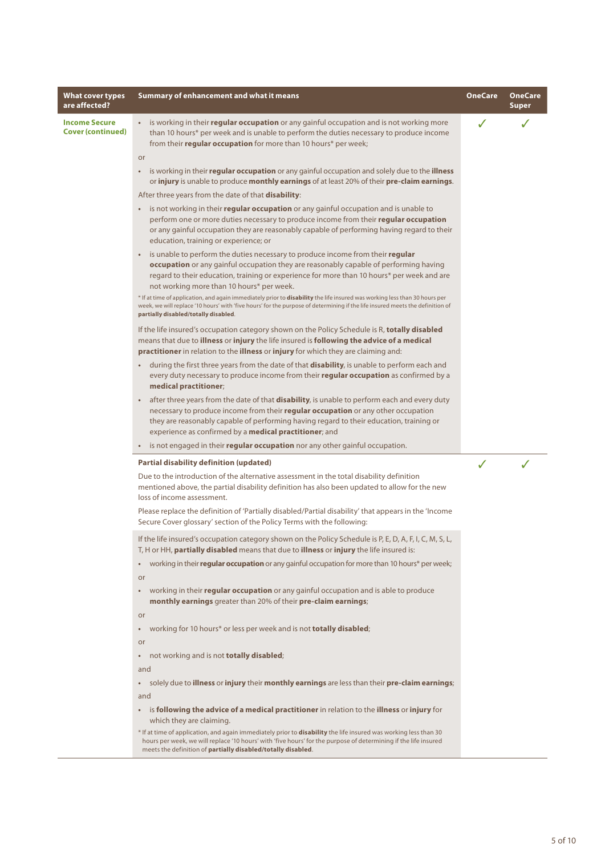| What cover types<br>are affected?                | Summary of enhancement and what it means                                                                                                                                                                                                                                                                                                                                                                                                                                                                                                                                                              | OneCare | <b>OneCare</b><br><b>Super</b> |
|--------------------------------------------------|-------------------------------------------------------------------------------------------------------------------------------------------------------------------------------------------------------------------------------------------------------------------------------------------------------------------------------------------------------------------------------------------------------------------------------------------------------------------------------------------------------------------------------------------------------------------------------------------------------|---------|--------------------------------|
| <b>Income Secure</b><br><b>Cover (continued)</b> | is working in their regular occupation or any gainful occupation and is not working more<br>than 10 hours* per week and is unable to perform the duties necessary to produce income<br>from their regular occupation for more than 10 hours* per week;                                                                                                                                                                                                                                                                                                                                                |         |                                |
|                                                  | or<br>is working in their regular occupation or any gainful occupation and solely due to the illness<br>٠<br>or injury is unable to produce monthly earnings of at least 20% of their pre-claim earnings.                                                                                                                                                                                                                                                                                                                                                                                             |         |                                |
|                                                  | After three years from the date of that <b>disability</b> :                                                                                                                                                                                                                                                                                                                                                                                                                                                                                                                                           |         |                                |
|                                                  | • is not working in their <b>regular occupation</b> or any gainful occupation and is unable to<br>perform one or more duties necessary to produce income from their regular occupation<br>or any gainful occupation they are reasonably capable of performing having regard to their<br>education, training or experience; or                                                                                                                                                                                                                                                                         |         |                                |
|                                                  | is unable to perform the duties necessary to produce income from their <b>regular</b><br>$\bullet$<br>occupation or any gainful occupation they are reasonably capable of performing having<br>regard to their education, training or experience for more than 10 hours* per week and are<br>not working more than 10 hours* per week.<br>* If at time of application, and again immediately prior to disability the life insured was working less than 30 hours per<br>week, we will replace '10 hours' with 'five hours' for the purpose of determining if the life insured meets the definition of |         |                                |
|                                                  | partially disabled/totally disabled.<br>If the life insured's occupation category shown on the Policy Schedule is R, totally disabled<br>means that due to illness or injury the life insured is following the advice of a medical<br>practitioner in relation to the illness or injury for which they are claiming and:                                                                                                                                                                                                                                                                              |         |                                |
|                                                  | during the first three years from the date of that <b>disability</b> , is unable to perform each and<br>$\bullet$<br>every duty necessary to produce income from their regular occupation as confirmed by a<br>medical practitioner;                                                                                                                                                                                                                                                                                                                                                                  |         |                                |
|                                                  | after three years from the date of that <b>disability</b> , is unable to perform each and every duty<br>$\bullet$<br>necessary to produce income from their regular occupation or any other occupation<br>they are reasonably capable of performing having regard to their education, training or<br>experience as confirmed by a medical practitioner; and                                                                                                                                                                                                                                           |         |                                |
|                                                  | is not engaged in their <b>regular occupation</b> nor any other gainful occupation.                                                                                                                                                                                                                                                                                                                                                                                                                                                                                                                   |         |                                |
|                                                  | <b>Partial disability definition (updated)</b>                                                                                                                                                                                                                                                                                                                                                                                                                                                                                                                                                        | ✓       |                                |
|                                                  | Due to the introduction of the alternative assessment in the total disability definition<br>mentioned above, the partial disability definition has also been updated to allow for the new<br>loss of income assessment.                                                                                                                                                                                                                                                                                                                                                                               |         |                                |
|                                                  | Please replace the definition of 'Partially disabled/Partial disability' that appears in the 'Income<br>Secure Cover glossary' section of the Policy Terms with the following:                                                                                                                                                                                                                                                                                                                                                                                                                        |         |                                |
|                                                  | If the life insured's occupation category shown on the Policy Schedule is P, E, D, A, F, I, C, M, S, L,<br>T, H or HH, partially disabled means that due to illness or injury the life insured is:                                                                                                                                                                                                                                                                                                                                                                                                    |         |                                |
|                                                  | working in their regular occupation or any gainful occupation for more than 10 hours* per week;<br>$\bullet$<br>or                                                                                                                                                                                                                                                                                                                                                                                                                                                                                    |         |                                |
|                                                  | working in their regular occupation or any gainful occupation and is able to produce<br>$\bullet$<br>monthly earnings greater than 20% of their pre-claim earnings;                                                                                                                                                                                                                                                                                                                                                                                                                                   |         |                                |
|                                                  | or<br>working for 10 hours* or less per week and is not totally disabled;<br>$\bullet$                                                                                                                                                                                                                                                                                                                                                                                                                                                                                                                |         |                                |
|                                                  | or                                                                                                                                                                                                                                                                                                                                                                                                                                                                                                                                                                                                    |         |                                |
|                                                  | not working and is not totally disabled;<br>$\bullet$                                                                                                                                                                                                                                                                                                                                                                                                                                                                                                                                                 |         |                                |
|                                                  | and                                                                                                                                                                                                                                                                                                                                                                                                                                                                                                                                                                                                   |         |                                |
|                                                  | solely due to <b>illness</b> or <b>injury</b> their <b>monthly earnings</b> are less than their <b>pre-claim earnings</b> ;<br>٠<br>and                                                                                                                                                                                                                                                                                                                                                                                                                                                               |         |                                |
|                                                  | is following the advice of a medical practitioner in relation to the illness or injury for<br>$\bullet$<br>which they are claiming.                                                                                                                                                                                                                                                                                                                                                                                                                                                                   |         |                                |
|                                                  | * If at time of application, and again immediately prior to <b>disability</b> the life insured was working less than 30<br>hours per week, we will replace '10 hours' with 'five hours' for the purpose of determining if the life insured<br>meets the definition of partially disabled/totally disabled.                                                                                                                                                                                                                                                                                            |         |                                |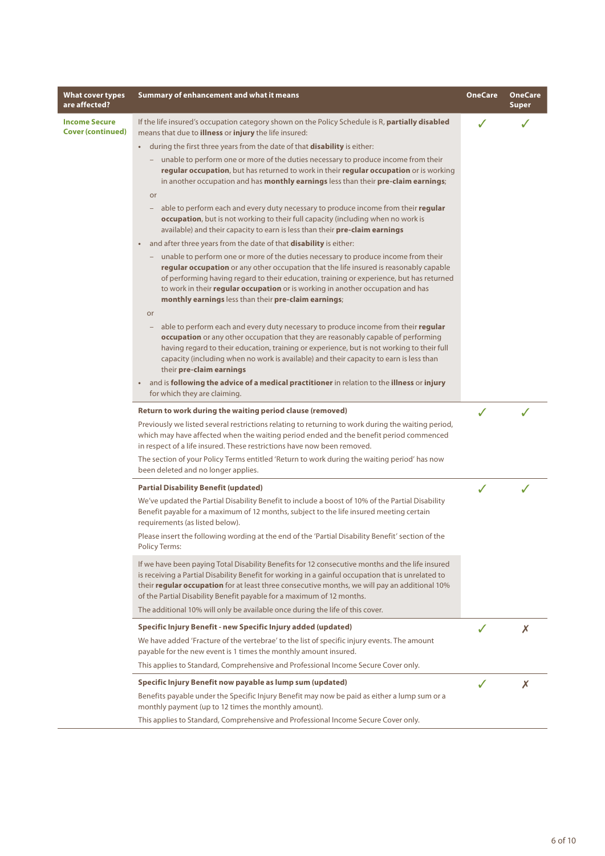| <b>What cover types</b><br>are affected?         | Summary of enhancement and what it means                                                                                                                                                                                                                                                                                                                                                                              | <b>OneCare</b> | <b>OneCare</b><br><b>Super</b> |
|--------------------------------------------------|-----------------------------------------------------------------------------------------------------------------------------------------------------------------------------------------------------------------------------------------------------------------------------------------------------------------------------------------------------------------------------------------------------------------------|----------------|--------------------------------|
| <b>Income Secure</b><br><b>Cover (continued)</b> | If the life insured's occupation category shown on the Policy Schedule is R, partially disabled<br>means that due to <b>illness</b> or <i>injury</i> the life insured:                                                                                                                                                                                                                                                |                |                                |
|                                                  | during the first three years from the date of that <b>disability</b> is either:<br>$\bullet$                                                                                                                                                                                                                                                                                                                          |                |                                |
|                                                  | - unable to perform one or more of the duties necessary to produce income from their<br>regular occupation, but has returned to work in their regular occupation or is working<br>in another occupation and has monthly earnings less than their pre-claim earnings;                                                                                                                                                  |                |                                |
|                                                  | or                                                                                                                                                                                                                                                                                                                                                                                                                    |                |                                |
|                                                  | able to perform each and every duty necessary to produce income from their regular<br>occupation, but is not working to their full capacity (including when no work is<br>available) and their capacity to earn is less than their pre-claim earnings                                                                                                                                                                 |                |                                |
|                                                  | and after three years from the date of that <b>disability</b> is either:<br>$\bullet$ .                                                                                                                                                                                                                                                                                                                               |                |                                |
|                                                  | - unable to perform one or more of the duties necessary to produce income from their<br>regular occupation or any other occupation that the life insured is reasonably capable<br>of performing having regard to their education, training or experience, but has returned<br>to work in their regular occupation or is working in another occupation and has<br>monthly earnings less than their pre-claim earnings; |                |                                |
|                                                  | or<br>able to perform each and every duty necessary to produce income from their regular<br>occupation or any other occupation that they are reasonably capable of performing<br>having regard to their education, training or experience, but is not working to their full<br>capacity (including when no work is available) and their capacity to earn is less than<br>their pre-claim earnings                     |                |                                |
|                                                  | and is following the advice of a medical practitioner in relation to the illness or injury<br>for which they are claiming.                                                                                                                                                                                                                                                                                            |                |                                |
|                                                  | Return to work during the waiting period clause (removed)                                                                                                                                                                                                                                                                                                                                                             | ℐ              | J                              |
|                                                  | Previously we listed several restrictions relating to returning to work during the waiting period,<br>which may have affected when the waiting period ended and the benefit period commenced<br>in respect of a life insured. These restrictions have now been removed.                                                                                                                                               |                |                                |
|                                                  | The section of your Policy Terms entitled 'Return to work during the waiting period' has now<br>been deleted and no longer applies.                                                                                                                                                                                                                                                                                   |                |                                |
|                                                  | <b>Partial Disability Benefit (updated)</b>                                                                                                                                                                                                                                                                                                                                                                           | J              | J                              |
|                                                  | We've updated the Partial Disability Benefit to include a boost of 10% of the Partial Disability<br>Benefit payable for a maximum of 12 months, subject to the life insured meeting certain<br>requirements (as listed below).                                                                                                                                                                                        |                |                                |
|                                                  | Please insert the following wording at the end of the 'Partial Disability Benefit' section of the<br><b>Policy Terms:</b>                                                                                                                                                                                                                                                                                             |                |                                |
|                                                  | If we have been paying Total Disability Benefits for 12 consecutive months and the life insured<br>is receiving a Partial Disability Benefit for working in a gainful occupation that is unrelated to<br>their regular occupation for at least three consecutive months, we will pay an additional 10%<br>of the Partial Disability Benefit payable for a maximum of 12 months.                                       |                |                                |
|                                                  | The additional 10% will only be available once during the life of this cover.                                                                                                                                                                                                                                                                                                                                         |                |                                |
|                                                  | Specific Injury Benefit - new Specific Injury added (updated)                                                                                                                                                                                                                                                                                                                                                         |                | X                              |
|                                                  | We have added 'Fracture of the vertebrae' to the list of specific injury events. The amount<br>payable for the new event is 1 times the monthly amount insured.                                                                                                                                                                                                                                                       |                |                                |
|                                                  | This applies to Standard, Comprehensive and Professional Income Secure Cover only.                                                                                                                                                                                                                                                                                                                                    |                |                                |
|                                                  | Specific Injury Benefit now payable as lump sum (updated)                                                                                                                                                                                                                                                                                                                                                             | J              | X                              |
|                                                  | Benefits payable under the Specific Injury Benefit may now be paid as either a lump sum or a<br>monthly payment (up to 12 times the monthly amount).                                                                                                                                                                                                                                                                  |                |                                |
|                                                  | This applies to Standard, Comprehensive and Professional Income Secure Cover only.                                                                                                                                                                                                                                                                                                                                    |                |                                |

I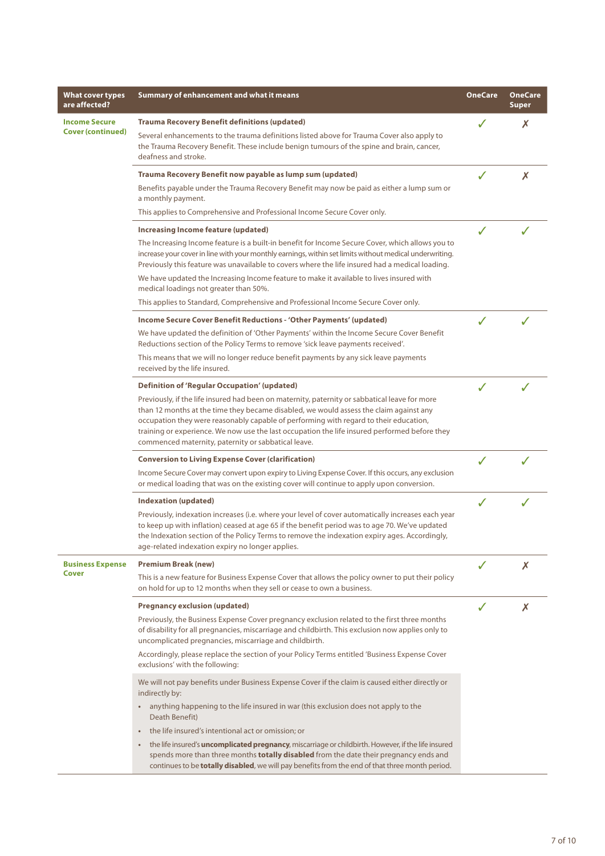| What cover types<br>are affected?                | Summary of enhancement and what it means                                                                                                                                                                                                                                                                                                                                                                                                                                                                                                                                                                   | <b>OneCare</b> | <b>OneCare</b><br>Super |
|--------------------------------------------------|------------------------------------------------------------------------------------------------------------------------------------------------------------------------------------------------------------------------------------------------------------------------------------------------------------------------------------------------------------------------------------------------------------------------------------------------------------------------------------------------------------------------------------------------------------------------------------------------------------|----------------|-------------------------|
| <b>Income Secure</b><br><b>Cover (continued)</b> | <b>Trauma Recovery Benefit definitions (updated)</b><br>Several enhancements to the trauma definitions listed above for Trauma Cover also apply to<br>the Trauma Recovery Benefit. These include benign tumours of the spine and brain, cancer,<br>deafness and stroke.                                                                                                                                                                                                                                                                                                                                    |                | X                       |
|                                                  | Trauma Recovery Benefit now payable as lump sum (updated)<br>Benefits payable under the Trauma Recovery Benefit may now be paid as either a lump sum or<br>a monthly payment.<br>This applies to Comprehensive and Professional Income Secure Cover only.                                                                                                                                                                                                                                                                                                                                                  |                | X                       |
|                                                  | Increasing Income feature (updated)<br>The Increasing Income feature is a built-in benefit for Income Secure Cover, which allows you to<br>increase your cover in line with your monthly earnings, within set limits without medical underwriting.<br>Previously this feature was unavailable to covers where the life insured had a medical loading.<br>We have updated the Increasing Income feature to make it available to lives insured with<br>medical loadings not greater than 50%.<br>This applies to Standard, Comprehensive and Professional Income Secure Cover only.                          |                |                         |
|                                                  | Income Secure Cover Benefit Reductions - 'Other Payments' (updated)<br>We have updated the definition of 'Other Payments' within the Income Secure Cover Benefit<br>Reductions section of the Policy Terms to remove 'sick leave payments received'.<br>This means that we will no longer reduce benefit payments by any sick leave payments<br>received by the life insured.                                                                                                                                                                                                                              |                |                         |
|                                                  | <b>Definition of 'Regular Occupation' (updated)</b><br>Previously, if the life insured had been on maternity, paternity or sabbatical leave for more<br>than 12 months at the time they became disabled, we would assess the claim against any<br>occupation they were reasonably capable of performing with regard to their education,<br>training or experience. We now use the last occupation the life insured performed before they<br>commenced maternity, paternity or sabbatical leave.                                                                                                            |                |                         |
|                                                  | <b>Conversion to Living Expense Cover (clarification)</b><br>Income Secure Cover may convert upon expiry to Living Expense Cover. If this occurs, any exclusion<br>or medical loading that was on the existing cover will continue to apply upon conversion.                                                                                                                                                                                                                                                                                                                                               |                |                         |
|                                                  | <b>Indexation (updated)</b><br>Previously, indexation increases (i.e. where your level of cover automatically increases each year<br>to keep up with inflation) ceased at age 65 if the benefit period was to age 70. We've updated<br>the Indexation section of the Policy Terms to remove the indexation expiry ages. Accordingly,<br>age-related indexation expiry no longer applies.                                                                                                                                                                                                                   |                |                         |
| <b>Business Expense</b><br>Cover                 | <b>Premium Break (new)</b><br>This is a new feature for Business Expense Cover that allows the policy owner to put their policy<br>on hold for up to 12 months when they sell or cease to own a business.                                                                                                                                                                                                                                                                                                                                                                                                  |                | Х                       |
|                                                  | <b>Pregnancy exclusion (updated)</b><br>Previously, the Business Expense Cover pregnancy exclusion related to the first three months<br>of disability for all pregnancies, miscarriage and childbirth. This exclusion now applies only to<br>uncomplicated pregnancies, miscarriage and childbirth.<br>Accordingly, please replace the section of your Policy Terms entitled 'Business Expense Cover<br>exclusions' with the following:                                                                                                                                                                    |                | X                       |
|                                                  | We will not pay benefits under Business Expense Cover if the claim is caused either directly or<br>indirectly by:<br>• anything happening to the life insured in war (this exclusion does not apply to the<br>Death Benefit)<br>the life insured's intentional act or omission; or<br>$\bullet$<br>the life insured's <b>uncomplicated pregnancy</b> , miscarriage or childbirth. However, if the life insured<br>spends more than three months totally disabled from the date their pregnancy ends and<br>continues to be totally disabled, we will pay benefits from the end of that three month period. |                |                         |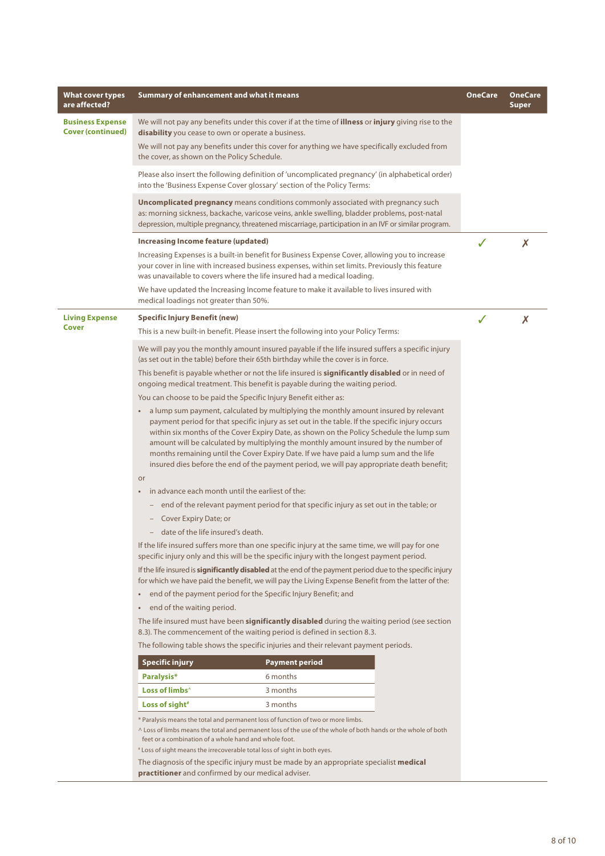| What cover types<br>are affected?                   | Summary of enhancement and what it means                                                                                                                                                                                                                                                                                                                                                                                                                                                                                                                         | OneCare | <b>OneCare</b><br>Super |
|-----------------------------------------------------|------------------------------------------------------------------------------------------------------------------------------------------------------------------------------------------------------------------------------------------------------------------------------------------------------------------------------------------------------------------------------------------------------------------------------------------------------------------------------------------------------------------------------------------------------------------|---------|-------------------------|
| <b>Business Expense</b><br><b>Cover (continued)</b> | We will not pay any benefits under this cover if at the time of <b>illness</b> or <b>injury</b> giving rise to the<br>disability you cease to own or operate a business.                                                                                                                                                                                                                                                                                                                                                                                         |         |                         |
|                                                     | We will not pay any benefits under this cover for anything we have specifically excluded from<br>the cover, as shown on the Policy Schedule.                                                                                                                                                                                                                                                                                                                                                                                                                     |         |                         |
|                                                     | Please also insert the following definition of 'uncomplicated pregnancy' (in alphabetical order)<br>into the 'Business Expense Cover glossary' section of the Policy Terms:                                                                                                                                                                                                                                                                                                                                                                                      |         |                         |
|                                                     | <b>Uncomplicated pregnancy</b> means conditions commonly associated with pregnancy such<br>as: morning sickness, backache, varicose veins, ankle swelling, bladder problems, post-natal<br>depression, multiple pregnancy, threatened miscarriage, participation in an IVF or similar program.                                                                                                                                                                                                                                                                   |         |                         |
|                                                     | Increasing Income feature (updated)                                                                                                                                                                                                                                                                                                                                                                                                                                                                                                                              | J       | X                       |
|                                                     | Increasing Expenses is a built-in benefit for Business Expense Cover, allowing you to increase<br>your cover in line with increased business expenses, within set limits. Previously this feature<br>was unavailable to covers where the life insured had a medical loading.                                                                                                                                                                                                                                                                                     |         |                         |
|                                                     | We have updated the Increasing Income feature to make it available to lives insured with<br>medical loadings not greater than 50%.                                                                                                                                                                                                                                                                                                                                                                                                                               |         |                         |
| <b>Living Expense</b>                               | <b>Specific Injury Benefit (new)</b>                                                                                                                                                                                                                                                                                                                                                                                                                                                                                                                             |         | X                       |
| Cover                                               | This is a new built-in benefit. Please insert the following into your Policy Terms:                                                                                                                                                                                                                                                                                                                                                                                                                                                                              |         |                         |
|                                                     | We will pay you the monthly amount insured payable if the life insured suffers a specific injury<br>(as set out in the table) before their 65th birthday while the cover is in force.                                                                                                                                                                                                                                                                                                                                                                            |         |                         |
|                                                     | This benefit is payable whether or not the life insured is significantly disabled or in need of<br>ongoing medical treatment. This benefit is payable during the waiting period.                                                                                                                                                                                                                                                                                                                                                                                 |         |                         |
|                                                     | You can choose to be paid the Specific Injury Benefit either as:                                                                                                                                                                                                                                                                                                                                                                                                                                                                                                 |         |                         |
|                                                     | a lump sum payment, calculated by multiplying the monthly amount insured by relevant<br>payment period for that specific injury as set out in the table. If the specific injury occurs<br>within six months of the Cover Expiry Date, as shown on the Policy Schedule the lump sum<br>amount will be calculated by multiplying the monthly amount insured by the number of<br>months remaining until the Cover Expiry Date. If we have paid a lump sum and the life<br>insured dies before the end of the payment period, we will pay appropriate death benefit; |         |                         |
|                                                     | or                                                                                                                                                                                                                                                                                                                                                                                                                                                                                                                                                               |         |                         |
|                                                     | in advance each month until the earliest of the:<br>$\bullet$                                                                                                                                                                                                                                                                                                                                                                                                                                                                                                    |         |                         |
|                                                     | - end of the relevant payment period for that specific injury as set out in the table; or                                                                                                                                                                                                                                                                                                                                                                                                                                                                        |         |                         |
|                                                     | - Cover Expiry Date; or<br>- date of the life insured's death.                                                                                                                                                                                                                                                                                                                                                                                                                                                                                                   |         |                         |
|                                                     | If the life insured suffers more than one specific injury at the same time, we will pay for one                                                                                                                                                                                                                                                                                                                                                                                                                                                                  |         |                         |
|                                                     | specific injury only and this will be the specific injury with the longest payment period.                                                                                                                                                                                                                                                                                                                                                                                                                                                                       |         |                         |
|                                                     | If the life insured is significantly disabled at the end of the payment period due to the specific injury<br>for which we have paid the benefit, we will pay the Living Expense Benefit from the latter of the:                                                                                                                                                                                                                                                                                                                                                  |         |                         |
|                                                     | end of the payment period for the Specific Injury Benefit; and<br>$\bullet$                                                                                                                                                                                                                                                                                                                                                                                                                                                                                      |         |                         |
|                                                     | end of the waiting period.<br>$\bullet$                                                                                                                                                                                                                                                                                                                                                                                                                                                                                                                          |         |                         |
|                                                     | The life insured must have been significantly disabled during the waiting period (see section<br>8.3). The commencement of the waiting period is defined in section 8.3.                                                                                                                                                                                                                                                                                                                                                                                         |         |                         |
|                                                     | The following table shows the specific injuries and their relevant payment periods.                                                                                                                                                                                                                                                                                                                                                                                                                                                                              |         |                         |
|                                                     | <b>Specific injury</b><br><b>Payment period</b>                                                                                                                                                                                                                                                                                                                                                                                                                                                                                                                  |         |                         |
|                                                     | Paralysis*<br>6 months                                                                                                                                                                                                                                                                                                                                                                                                                                                                                                                                           |         |                         |
|                                                     | Loss of limbs <sup>^</sup><br>3 months                                                                                                                                                                                                                                                                                                                                                                                                                                                                                                                           |         |                         |
|                                                     | Loss of sight <sup>#</sup><br>3 months                                                                                                                                                                                                                                                                                                                                                                                                                                                                                                                           |         |                         |
|                                                     | * Paralysis means the total and permanent loss of function of two or more limbs.<br>^ Loss of limbs means the total and permanent loss of the use of the whole of both hands or the whole of both<br>feet or a combination of a whole hand and whole foot.<br>* Loss of sight means the irrecoverable total loss of sight in both eyes.<br>The diagnosis of the specific injury must be made by an appropriate specialist medical<br>practitioner and confirmed by our medical adviser.                                                                          |         |                         |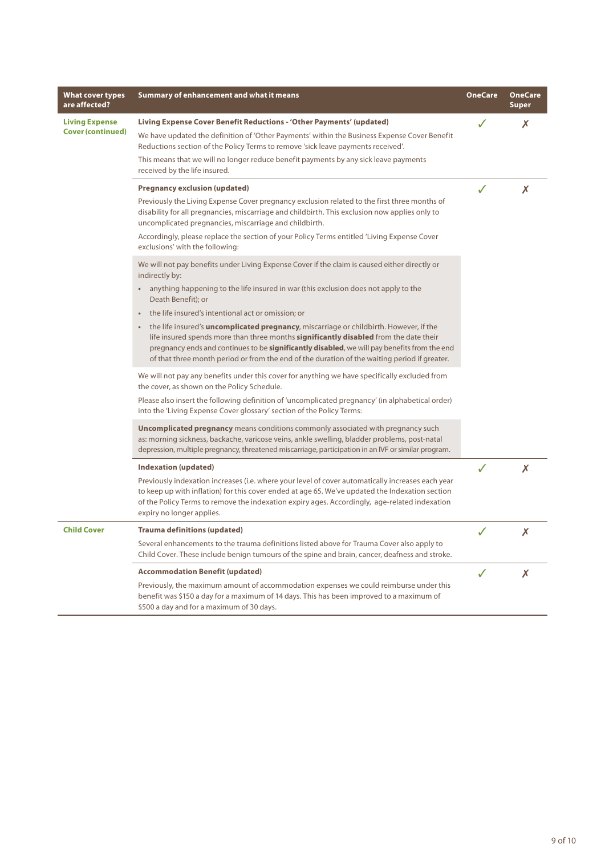| <b>What cover types</b><br>are affected?          | Summary of enhancement and what it means                                                                                                                                                                                                                                                                                                                                                                                                                                                                                                                                                                                                                                                                                 | <b>OneCare</b> | <b>OneCare</b><br><b>Super</b> |
|---------------------------------------------------|--------------------------------------------------------------------------------------------------------------------------------------------------------------------------------------------------------------------------------------------------------------------------------------------------------------------------------------------------------------------------------------------------------------------------------------------------------------------------------------------------------------------------------------------------------------------------------------------------------------------------------------------------------------------------------------------------------------------------|----------------|--------------------------------|
| <b>Living Expense</b><br><b>Cover (continued)</b> | Living Expense Cover Benefit Reductions - 'Other Payments' (updated)<br>We have updated the definition of 'Other Payments' within the Business Expense Cover Benefit<br>Reductions section of the Policy Terms to remove 'sick leave payments received'.<br>This means that we will no longer reduce benefit payments by any sick leave payments<br>received by the life insured.                                                                                                                                                                                                                                                                                                                                        | $\checkmark$   | Х                              |
|                                                   | <b>Pregnancy exclusion (updated)</b><br>Previously the Living Expense Cover pregnancy exclusion related to the first three months of<br>disability for all pregnancies, miscarriage and childbirth. This exclusion now applies only to<br>uncomplicated pregnancies, miscarriage and childbirth.<br>Accordingly, please replace the section of your Policy Terms entitled 'Living Expense Cover<br>exclusions' with the following:                                                                                                                                                                                                                                                                                       |                | Х                              |
|                                                   | We will not pay benefits under Living Expense Cover if the claim is caused either directly or<br>indirectly by:<br>anything happening to the life insured in war (this exclusion does not apply to the<br>$\bullet$ .<br>Death Benefit); or<br>the life insured's intentional act or omission; or<br>$\bullet$<br>the life insured's <b>uncomplicated pregnancy</b> , miscarriage or childbirth. However, if the<br>life insured spends more than three months <b>significantly disabled</b> from the date their<br>pregnancy ends and continues to be <b>significantly disabled</b> , we will pay benefits from the end<br>of that three month period or from the end of the duration of the waiting period if greater. |                |                                |
|                                                   | We will not pay any benefits under this cover for anything we have specifically excluded from<br>the cover, as shown on the Policy Schedule.<br>Please also insert the following definition of 'uncomplicated pregnancy' (in alphabetical order)<br>into the 'Living Expense Cover glossary' section of the Policy Terms:                                                                                                                                                                                                                                                                                                                                                                                                |                |                                |
|                                                   | <b>Uncomplicated pregnancy</b> means conditions commonly associated with pregnancy such<br>as: morning sickness, backache, varicose veins, ankle swelling, bladder problems, post-natal<br>depression, multiple pregnancy, threatened miscarriage, participation in an IVF or similar program.                                                                                                                                                                                                                                                                                                                                                                                                                           |                |                                |
|                                                   | Indexation (updated)<br>Previously indexation increases (i.e. where your level of cover automatically increases each year<br>to keep up with inflation) for this cover ended at age 65. We've updated the Indexation section<br>of the Policy Terms to remove the indexation expiry ages. Accordingly, age-related indexation<br>expiry no longer applies.                                                                                                                                                                                                                                                                                                                                                               |                | X                              |
| <b>Child Cover</b>                                | <b>Trauma definitions (updated)</b><br>Several enhancements to the trauma definitions listed above for Trauma Cover also apply to<br>Child Cover. These include benign tumours of the spine and brain, cancer, deafness and stroke.                                                                                                                                                                                                                                                                                                                                                                                                                                                                                      | $\checkmark$   | X                              |
|                                                   | <b>Accommodation Benefit (updated)</b><br>Previously, the maximum amount of accommodation expenses we could reimburse under this<br>benefit was \$150 a day for a maximum of 14 days. This has been improved to a maximum of<br>\$500 a day and for a maximum of 30 days.                                                                                                                                                                                                                                                                                                                                                                                                                                                | J              | X                              |